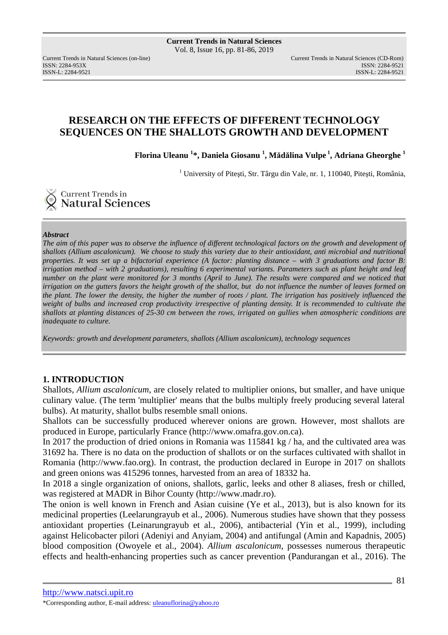ISSN: 2284-953XISSN: 2284-9521

Current Trends in Natural Sciences (on-line) Current Trends in Natural Sciences (CD-Rom) ISSN-L: 2284-9521

# **RESEARCH ON THE EFFECTS OF DIFFERENT TECHNOLOGY SEQUENCES ON THE SHALLOTS GROWTH AND DEVELOPMENT**

**Florina Uleanu <sup>1</sup> \*, Daniela Giosanu <sup>1</sup> , Mădălina Vulpe<sup>1</sup>, Adriana Gheorghe <sup>1</sup>**

<sup>1</sup> University of Pitești, Str. Târgu din Vale, nr. 1, 110040, Pitești, România,

**Current Trends in<br>Natural Sciences** 

#### *Abstract*

*The aim of this paper was to observe the influence of different technological factors on the growth and development of shallots (Allium ascalonicum). We choose to study this variety due to their antioxidant, anti microbial and nutritional properties. It was set up a bifactorial experience (A factor: planting distance – with 3 graduations and factor B: irrigation method – with 2 graduations), resulting 6 experimental variants. Parameters such as plant height and leaf number on the plant were monitored for 3 months (April to June). The results were compared and we noticed that irrigation on the gutters favors the height growth of the shallot, but do not influence the number of leaves formed on the plant. The lower the density, the higher the number of roots / plant. The irrigation has positively influenced the weight of bulbs and increased crop productivity irrespective of planting density. It is recommended to cultivate the shallots at planting distances of 25-30 cm between the rows, irrigated on gullies when atmospheric conditions are inadequate to culture.* 

*Keywords: growth and development parameters, shallots (Allium ascalonicum), technology sequences* 

### **1. INTRODUCTION**

Shallots, *Allium ascalonicum*, are closely related to multiplier onions, but smaller, and have unique culinary value. (The term 'multiplier' means that the bulbs multiply freely producing several lateral bulbs). At maturity, shallot bulbs resemble small onions.

Shallots can be successfully produced wherever onions are grown. However, most shallots are produced in Europe, particularly France (http://www.omafra.gov.on.ca).

In 2017 the production of dried onions in Romania was 115841 kg / ha, and the cultivated area was 31692 ha. There is no data on the production of shallots or on the surfaces cultivated with shallot in Romania (http://www.fao.org). In contrast, the production declared in Europe in 2017 on shallots and green onions was 415296 tonnes, harvested from an area of 18332 ha.

In 2018 a single organization of onions, shallots, garlic, leeks and other 8 aliases, fresh or chilled, was registered at MADR in Bihor County (http://www.madr.ro).

The onion is well known in French and Asian cuisine (Ye et al., 2013), but is also known for its medicinal properties (Leelarungrayub et al., 2006). Numerous studies have shown that they possess antioxidant properties (Leinarungrayub et al., 2006), antibacterial (Yin et al., 1999), including against Helicobacter pilori (Adeniyi and Anyiam, 2004) and antifungal (Amin and Kapadnis, 2005) blood composition (Owoyele et al., 2004). *Allium ascalonicum*, possesses numerous therapeutic effects and health-enhancing properties such as cancer prevention (Pandurangan et al., 2016). The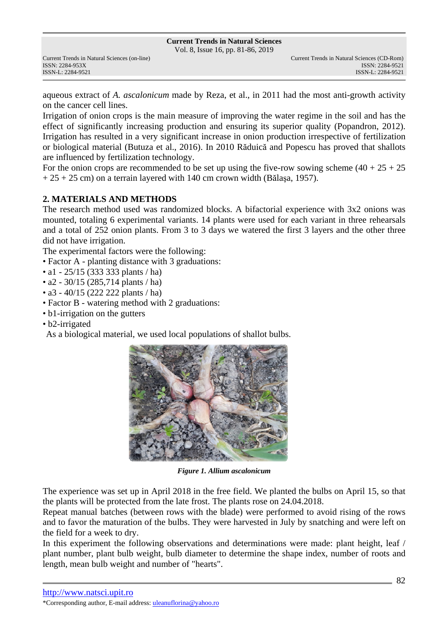Vol. 8, Issue 16, pp. 81-86, 2019

aqueous extract of *A. ascalonicum* made by Reza, et al., in 2011 had the most anti-growth activity on the cancer cell lines.

Irrigation of onion crops is the main measure of improving the water regime in the soil and has the effect of significantly increasing production and ensuring its superior quality (Popandron, 2012). Irrigation has resulted in a very significant increase in onion production irrespective of fertilization or biological material (Butuza et al., 2016). In 2010 Răduică and Popescu has proved that shallots are influenced by fertilization technology.

For the onion crops are recommended to be set up using the five-row sowing scheme  $(40 + 25 + 25)$  $+ 25 + 25$  cm) on a terrain layered with 140 cm crown width (Bălasa, 1957).

## **2. MATERIALS AND METHODS**

The research method used was randomized blocks. A bifactorial experience with 3x2 onions was mounted, totaling 6 experimental variants. 14 plants were used for each variant in three rehearsals and a total of 252 onion plants. From 3 to 3 days we watered the first 3 layers and the other three did not have irrigation.

The experimental factors were the following:

- Factor A planting distance with 3 graduations:
- a1 25/15 (333 333 plants / ha)
- a2 30/15 (285,714 plants / ha)
- a3 40/15 (222 222 plants / ha)
- Factor B watering method with 2 graduations:
- b1-irrigation on the gutters
- b2-irrigated

As a biological material, we used local populations of shallot bulbs.



*Figure 1. Allium ascalonicum* 

The experience was set up in April 2018 in the free field. We planted the bulbs on April 15, so that the plants will be protected from the late frost. The plants rose on 24.04.2018.

Repeat manual batches (between rows with the blade) were performed to avoid rising of the rows and to favor the maturation of the bulbs. They were harvested in July by snatching and were left on the field for a week to dry.

In this experiment the following observations and determinations were made: plant height, leaf / plant number, plant bulb weight, bulb diameter to determine the shape index, number of roots and length, mean bulb weight and number of "hearts".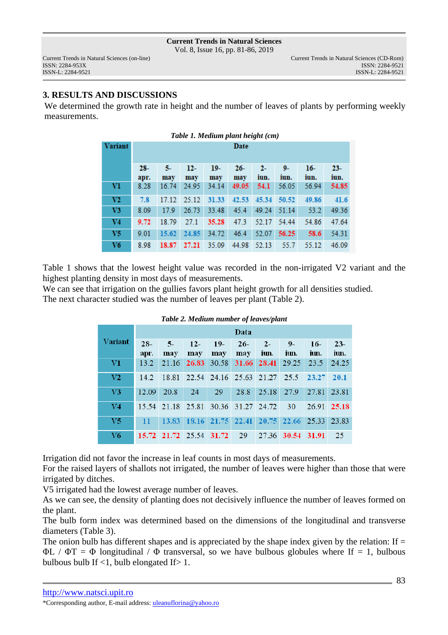Vol. 8, Issue 16, pp. 81-86, 2019

ISSN-L: 2284-9521 ISSN-L: 2284-9521

### **3. RESULTS AND DISCUSSIONS**

We determined the growth rate in height and the number of leaves of plants by performing weekly measurements.

| Table 1. Medium plant height (cm) |        |       |       |       |        |       |       |       |        |
|-----------------------------------|--------|-------|-------|-------|--------|-------|-------|-------|--------|
| Variant                           | Date   |       |       |       |        |       |       |       |        |
|                                   |        |       |       |       |        |       |       |       |        |
|                                   | $28 -$ | 5.    | 12-   | $19-$ | $26 -$ | $2-$  | $9-$  | $16-$ | $23 -$ |
|                                   | apr.   | may   | may   | may   | may    | iun.  | iun.  | iun.  | iun.   |
| Vl                                | 8.28   | 16.74 | 24.95 | 34.14 | 49.05  | 54.1  | 56.05 | 56.94 | 54.85  |
| V2                                | 7.8    | 17.12 | 25.12 | 31.33 | 42.53  | 45.34 | 50.52 | 49.86 | 41.6   |
| V3                                | 8.09   | 179   | 26.73 | 33.48 | 45.4   | 49.24 | 51.14 | 53.2  | 49.36  |
| V4                                | 9.72   | 18.79 | 27.1  | 35.28 | 47.3   | 52.17 | 54.44 | 54.86 | 47.64  |
| V5                                | 9.01   | 15.62 | 24.85 | 34.72 | 46.4   | 52.07 | 56.25 | 58.6  | 54.31  |
| V6                                | 8.98   | 18.87 | 27.21 | 35.09 | 44.98  | 52.13 | 55.7  | 55.12 | 46.09  |

Table 1 shows that the lowest height value was recorded in the non-irrigated V2 variant and the highest planting density in most days of measurements.

We can see that irrigation on the gullies favors plant height growth for all densities studied. The next character studied was the number of leaves per plant (Table 2).

|                | Data          |                         |              |                                           |                   |               |              |               |                |
|----------------|---------------|-------------------------|--------------|-------------------------------------------|-------------------|---------------|--------------|---------------|----------------|
| Variant        | $28-$<br>apr. | $5-$<br>may             | $12-$<br>may | $19-$<br>may                              | $26-$<br>may      | $2 -$<br>iun. | $9-$<br>iun. | $16-$<br>iun. | $23 -$<br>iun. |
| V1             | 13.2          | 21.16                   | 26.83        | 30.58                                     |                   | 31.66 28.41   | 29.25        | 23.5          | 24.25          |
| V <sub>2</sub> | 142.          |                         |              | 18.81 22.54 24.16 25.63 21.27 25.5        |                   |               |              | 23.27         | 20.1           |
| V <sub>3</sub> | 12.09         | 20.8                    | 24           | 29                                        | 28.8              | 25.18         | 27.9         | 27.81         | 23.81          |
| V <sub>4</sub> |               | 15.54 21.18 25.81       |              |                                           | 30.36 31.27 24.72 |               | 30           | 26.91         | 25.18          |
| V <sub>5</sub> | 11            |                         |              | 13.83 18.16 21.75 22.41 20.75 22.66 25.33 |                   |               |              |               | 23.83          |
| V6             |               | 15.72 21.72 25.54 31.72 |              |                                           | - 29              |               | 27.36 30.54  | - 31.91       | 25             |

#### *Table 2. Medium number of leaves/plant*

Irrigation did not favor the increase in leaf counts in most days of measurements.

For the raised layers of shallots not irrigated, the number of leaves were higher than those that were irrigated by ditches.

V5 irrigated had the lowest average number of leaves.

As we can see, the density of planting does not decisively influence the number of leaves formed on the plant.

The bulb form index was determined based on the dimensions of the longitudinal and transverse diameters (Table 3).

The onion bulb has different shapes and is appreciated by the shape index given by the relation: If  $=$  $\Phi L / \Phi T = \Phi$  longitudinal /  $\Phi$  transversal, so we have bulbous globules where If = 1, bulbous bulbous bulb If <1, bulb elongated If> 1.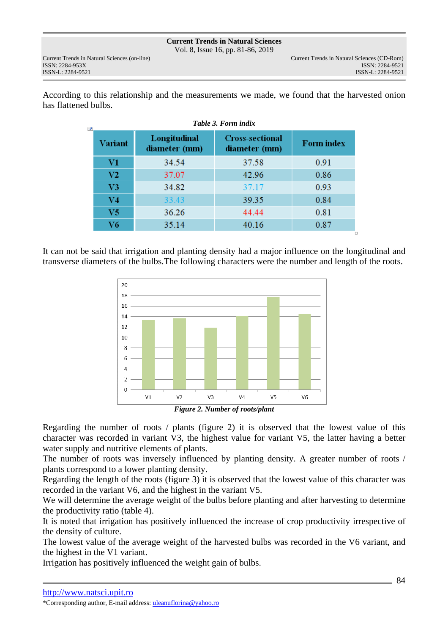Vol. 8, Issue 16, pp. 81-86, 2019

ISSN: 2284-953XISSN: 2284-9521

According to this relationship and the measurements we made, we found that the harvested onion has flattened bulbs.

| ٣p | Table 3. Form indix |                               |                                         |                   |  |  |  |  |
|----|---------------------|-------------------------------|-----------------------------------------|-------------------|--|--|--|--|
|    | <b>Variant</b>      | Longitudinal<br>diameter (mm) | <b>Cross-sectional</b><br>diameter (mm) | <b>Form index</b> |  |  |  |  |
|    | V1                  | 34.54                         | 37.58                                   | 0.91              |  |  |  |  |
|    | V2                  | 37.07                         | 42.96                                   | 0.86              |  |  |  |  |
|    | V <sub>3</sub>      | 34.82                         | 37.17                                   | 0.93              |  |  |  |  |
|    | V <sub>4</sub>      | 33.43                         | 39.35                                   | 0.84              |  |  |  |  |
|    | V <sub>5</sub>      | 36.26                         | 44.44                                   | 0.81              |  |  |  |  |
|    | V <sub>6</sub>      | 35.14                         | 40.16                                   | 0.87              |  |  |  |  |

It can not be said that irrigation and planting density had a major influence on the longitudinal and transverse diameters of the bulbs.The following characters were the number and length of the roots.



*Figure 2. Number of roots/plant* 

Regarding the number of roots / plants (figure 2) it is observed that the lowest value of this character was recorded in variant V3, the highest value for variant V5, the latter having a better water supply and nutritive elements of plants.

The number of roots was inversely influenced by planting density. A greater number of roots / plants correspond to a lower planting density.

Regarding the length of the roots (figure 3) it is observed that the lowest value of this character was recorded in the variant V6, and the highest in the variant V5.

We will determine the average weight of the bulbs before planting and after harvesting to determine the productivity ratio (table 4).

It is noted that irrigation has positively influenced the increase of crop productivity irrespective of the density of culture.

The lowest value of the average weight of the harvested bulbs was recorded in the V6 variant, and the highest in the V1 variant.

Irrigation has positively influenced the weight gain of bulbs.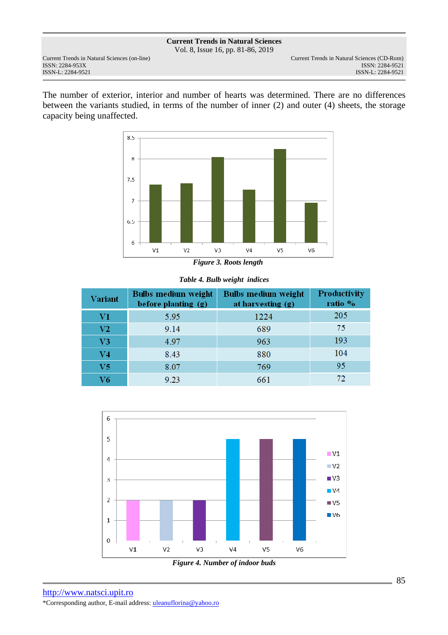Vol. 8, Issue 16, pp. 81-86, 2019

The number of exterior, interior and number of hearts was determined. There are no differences between the variants studied, in terms of the number of inner (2) and outer (4) sheets, the storage capacity being unaffected.



*Table 4. Bulb weight indices* 

| <b>Variant</b> | Bulbs medium weight<br>before planting (g) | <b>Bulbs medium weight</b><br>at harvesting $(g)$ | <b>Productivity</b><br>ratio % |  |
|----------------|--------------------------------------------|---------------------------------------------------|--------------------------------|--|
| V1             | 5.95                                       | 1224                                              | 205                            |  |
| V <sub>2</sub> | 9.14                                       | 689                                               | 75                             |  |
| V <sub>3</sub> | 4.97                                       | 963                                               | 193                            |  |
| $_{\rm V4}$    | 8.43                                       | 880                                               | 104                            |  |
| V <sub>5</sub> | 8.07                                       | 769                                               | 95                             |  |
| V6             | 9.23                                       | 661                                               |                                |  |



*Figure 4. Number of indoor buds* 

http://www.natsci.upit.ro \*Corresponding author, E-mail address: uleanuflorina@yahoo.ro